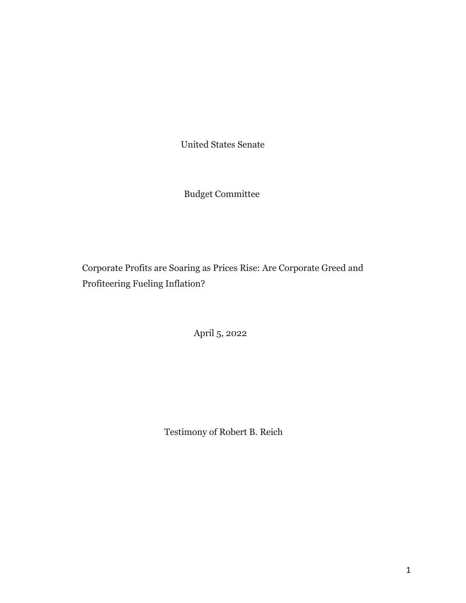United States Senate

Budget Committee

Corporate Profits are Soaring as Prices Rise: Are Corporate Greed and Profiteering Fueling Inflation?

April 5, 2022

Testimony of Robert B. Reich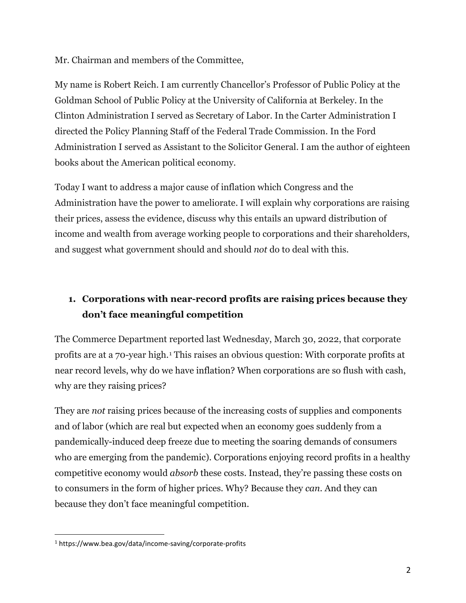Mr. Chairman and members of the Committee,

My name is Robert Reich. I am currently Chancellor's Professor of Public Policy at the Goldman School of Public Policy at the University of California at Berkeley. In the Clinton Administration I served as Secretary of Labor. In the Carter Administration I directed the Policy Planning Staff of the Federal Trade Commission. In the Ford Administration I served as Assistant to the Solicitor General. I am the author of eighteen books about the American political economy.

Today I want to address a major cause of inflation which Congress and the Administration have the power to ameliorate. I will explain why corporations are raising their prices, assess the evidence, discuss why this entails an upward distribution of income and wealth from average working people to corporations and their shareholders, and suggest what government should and should *not* do to deal with this.

# **1. Corporations with near-record profits are raising prices because they don't face meaningful competition**

The Commerce Department reported last Wednesday, March 30, 2022, that corporate profits are at a 70-year high.[1](#page-1-0) This raises an obvious question: With corporate profits at near record levels, why do we have inflation? When corporations are so flush with cash, why are they raising prices?

They are *not* raising prices because of the increasing costs of supplies and components and of labor (which are real but expected when an economy goes suddenly from a pandemically-induced deep freeze due to meeting the soaring demands of consumers who are emerging from the pandemic). Corporations enjoying record profits in a healthy competitive economy would *absorb* these costs. Instead, they're passing these costs on to consumers in the form of higher prices. Why? Because they *can.* And they can because they don't face meaningful competition.

<span id="page-1-0"></span> $\overline{a}$ <sup>1</sup> https://www.bea.gov/data/income-saving/corporate-profits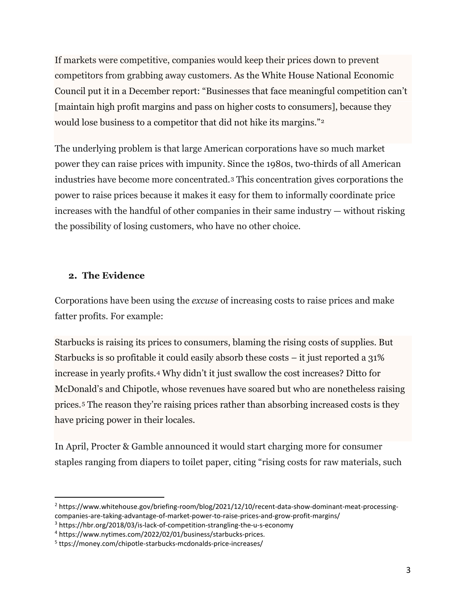If markets were competitive, companies would keep their prices down to prevent competitors from grabbing away customers. As the White House National Economic Council put it in a December report: "Businesses that face meaningful competition can't [maintain high profit margins and pass on higher costs to consumers], because they would lose business to a competitor that did not hike its margins."[2](#page-2-0)

The underlying problem is that large American corporations have so much market power they can raise prices with impunity. Since the 1980s, two-thirds of all American industries have become more concentrated.[3](#page-2-1) This concentration gives corporations the power to raise prices because it makes it easy for them to informally coordinate price increases with the handful of other companies in their same industry — without risking the possibility of losing customers, who have no other choice.

#### **2. The Evidence**

 $\overline{a}$ 

Corporations have been using the *excuse* of increasing costs to raise prices and make fatter profits. For example:

Starbucks is raising its prices to consumers, blaming the rising costs of supplies. But Starbucks is so profitable it could easily absorb these costs – it just reported a 31% increase in yearly profits.[4](#page-2-2) Why didn't it just swallow the cost increases? Ditto for McDonald's and Chipotle, whose revenues have soared but who are nonetheless raising prices.[5](#page-2-3) The reason they're raising prices rather than absorbing increased costs is they have pricing power in their locales.

In April, Procter & Gamble announced it would start charging more for consumer staples ranging from diapers to toilet paper, citing "rising costs for raw materials, such

<span id="page-2-0"></span><sup>2</sup> https://www.whitehouse.gov/briefing-room/blog/2021/12/10/recent-data-show-dominant-meat-processingcompanies-are-taking-advantage-of-market-power-to-raise-prices-and-grow-profit-margins/

<span id="page-2-1"></span><sup>&</sup>lt;sup>3</sup> https://hbr.org/2018/03/is-lack-of-competition-strangling-the-u-s-economy

<span id="page-2-2"></span><sup>4</sup> https://www.nytimes.com/2022/02/01/business/starbucks-prices.

<span id="page-2-3"></span><sup>5</sup> ttps://money.com/chipotle-starbucks-mcdonalds-price-increases/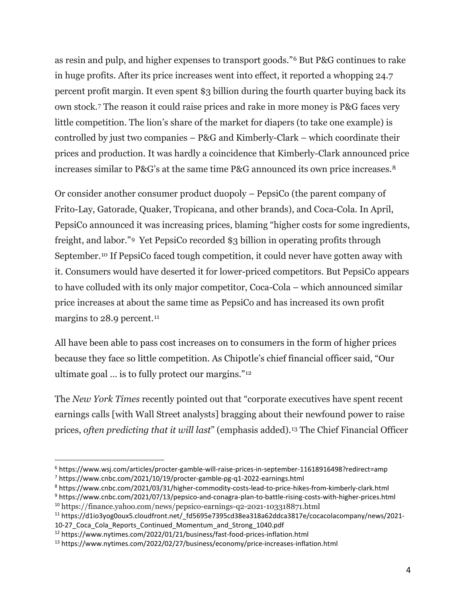as resin and pulp, and higher expenses to transport goods."[6](#page-3-0) But P&G continues to rake in huge profits. After its price increases went into effect, it reported a whopping 24.7 percent profit margin. It even spent \$3 billion during the fourth quarter buying back its own stock.[7](#page-3-1) The reason it could raise prices and rake in more money is P&G faces very little competition. The lion's share of the market for diapers (to take one example) is controlled by just two companies – P&G and Kimberly-Clark – which coordinate their prices and production. It was hardly a coincidence that Kimberly-Clark announced price increases similar to P&G's at the same time P&G announced its own price increases.[8](#page-3-2)

Or consider another consumer product duopoly – PepsiCo (the parent company of Frito-Lay, Gatorade, Quaker, Tropicana, and other brands), and Coca-Cola. In April, PepsiCo announced it was increasing prices, blaming "higher costs for some ingredients, freight, and labor."[9](#page-3-3) Yet PepsiCo recorded \$3 billion in operating profits through September.[10](#page-3-4) If PepsiCo faced tough competition, it could never have gotten away with it. Consumers would have deserted it for lower-priced competitors. But PepsiCo appears to have colluded with its only major competitor, Coca-Cola – which announced similar price increases at about the same time as PepsiCo and has increased its own profit margins to 28.9 percent.<sup>[11](#page-3-5)</sup>

All have been able to pass cost increases on to consumers in the form of higher prices because they face so little competition. As Chipotle's chief financial officer said, "Our ultimate goal … is to fully protect our margins."[12](#page-3-6)

The *New York Times* recently pointed out that "corporate executives have spent recent earnings calls [with Wall Street analysts] bragging about their newfound power to raise prices, *often predicting that it will last*" (emphasis added).[13](#page-3-7) The Chief Financial Officer

<span id="page-3-0"></span><sup>6</sup> https://www.wsj.com/articles/procter-gamble-will-raise-prices-in-september-11618916498?redirect=amp

<span id="page-3-1"></span><sup>7</sup> https://www.cnbc.com/2021/10/19/procter-gamble-pg-q1-2022-earnings.html

<span id="page-3-2"></span><sup>8</sup> https://www.cnbc.com/2021/03/31/higher-commodity-costs-lead-to-price-hikes-from-kimberly-clark.html

<span id="page-3-4"></span><span id="page-3-3"></span><sup>9</sup> https://www.cnbc.com/2021/07/13/pepsico-and-conagra-plan-to-battle-rising-costs-with-higher-prices.html <sup>10</sup> https://finance.yahoo.com/news/pepsico-earnings-q2-2021-103318871.html

<span id="page-3-5"></span><sup>&</sup>lt;sup>11</sup> https://d1io3yog0oux5.cloudfront.net/ fd5695e7395cd38ea318a62ddca3817e/cocacolacompany/news/2021-10-27 Coca Cola Reports Continued Momentum and Strong 1040.pdf

<span id="page-3-6"></span><sup>12</sup> https://www.nytimes.com/2022/01/21/business/fast-food-prices-inflation.html

<span id="page-3-7"></span><sup>13</sup> https://www.nytimes.com/2022/02/27/business/economy/price-increases-inflation.html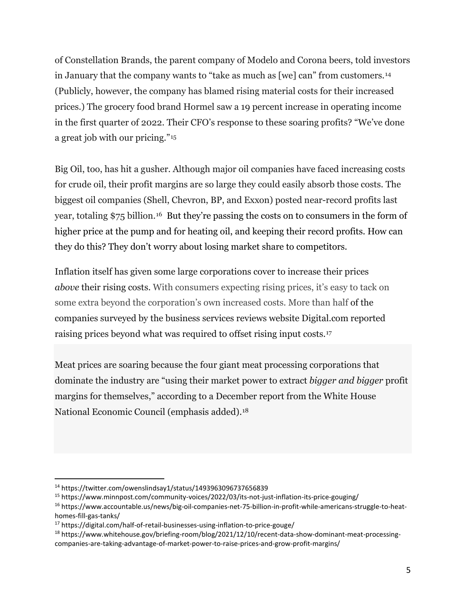of Constellation Brands, the parent company of Modelo and Corona beers, told investors in January that the company wants to "take as much as [we] can" from customers.[14](#page-4-0) (Publicly, however, the company has blamed rising material costs for their increased prices.) The grocery food brand Hormel saw a 19 percent increase in operating income in the first quarter of 2022. Their CFO's response to these soaring profits? "We've done a great job with our pricing."[15](#page-4-1)

Big Oil, too, has hit a gusher. Although major oil companies have faced increasing costs for crude oil, their profit margins are so large they could easily absorb those costs. The biggest oil companies (Shell, Chevron, BP, and Exxon) posted near-record profits last year, totaling \$75 billion.[16](#page-4-2) But they're passing the costs on to consumers in the form of higher price at the pump and for heating oil, and keeping their record profits. How can they do this? They don't worry about losing market share to competitors.

Inflation itself has given some large corporations cover to increase their prices *above* their rising costs. With consumers expecting rising prices, it's easy to tack on some extra beyond the corporation's own increased costs. More than half of the companies surveyed by the business services reviews website [Digital.com](http://digital.com/) reported raising prices beyond what was required to offset rising input costs.[17](#page-4-3)

Meat prices are soaring because the four giant meat processing corporations that dominate the industry are "using their market power to extract *bigger and bigger* profit margins for themselves," according to a December report from the White House National Economic Council (emphasis added).[18](#page-4-4)

<span id="page-4-0"></span><sup>14</sup> https://twitter.com/owenslindsay1/status/1493963096737656839

<span id="page-4-1"></span><sup>15</sup> https://www.minnpost.com/community-voices/2022/03/its-not-just-inflation-its-price-gouging/

<span id="page-4-2"></span><sup>16</sup> https://www.accountable.us/news/big-oil-companies-net-75-billion-in-profit-while-americans-struggle-to-heathomes-fill-gas-tanks/

<span id="page-4-3"></span><sup>17</sup> https://digital.com/half-of-retail-businesses-using-inflation-to-price-gouge/

<span id="page-4-4"></span><sup>18</sup> https://www.whitehouse.gov/briefing-room/blog/2021/12/10/recent-data-show-dominant-meat-processingcompanies-are-taking-advantage-of-market-power-to-raise-prices-and-grow-profit-margins/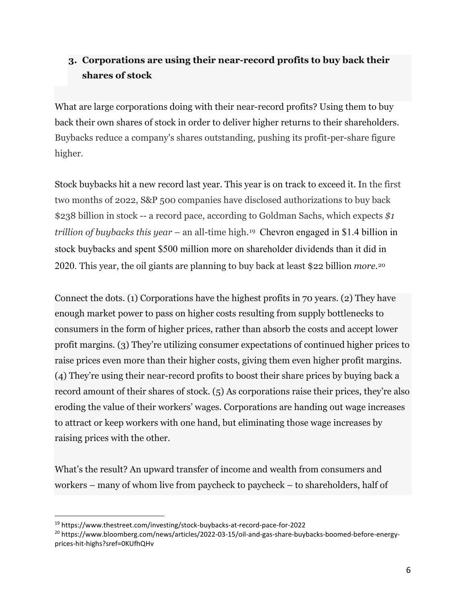## **3. Corporations are using their near-record profits to buy back their shares of stock**

What are large corporations doing with their near-record profits? Using them to buy back their own shares of stock in order to deliver higher returns to their shareholders. Buybacks reduce a company's shares outstanding, pushing its profit-per-share figure higher.

Stock buybacks hit a new record last year. This year is on track to exceed it. In the first two months of 2022, S&P 500 companies have disclosed authorizations to buy back \$238 billion in stock -- a record pace, according to Goldman Sachs, which expects *\$1 trillion of buybacks this year* – an all-time high.[19](#page-5-0) Chevron engaged in \$1.4 billion in stock buybacks and spent \$500 million more on shareholder dividends than it did in 2020. This year, the oil giants are planning to buy back at least \$22 billion *more*.[20](#page-5-1)

Connect the dots. (1) Corporations have the highest profits in 70 years. (2) They have enough market power to pass on higher costs resulting from supply bottlenecks to consumers in the form of higher prices, rather than absorb the costs and accept lower profit margins. (3) They're utilizing consumer expectations of continued higher prices to raise prices even more than their higher costs, giving them even higher profit margins. (4) They're using their near-record profits to boost their share prices by buying back a record amount of their shares of stock. (5) As corporations raise their prices, they're also eroding the value of their workers' wages. Corporations are handing out wage increases to attract or keep workers with one hand, but eliminating those wage increases by raising prices with the other.

What's the result? An upward transfer of income and wealth from consumers and workers – many of whom live from paycheck to paycheck – to shareholders, half of

<span id="page-5-0"></span><sup>19</sup> https://www.thestreet.com/investing/stock-buybacks-at-record-pace-for-2022

<span id="page-5-1"></span><sup>&</sup>lt;sup>20</sup> https://www.bloomberg.com/news/articles/2022-03-15/oil-and-gas-share-buybacks-boomed-before-energyprices-hit-highs?sref=0KUfhQHv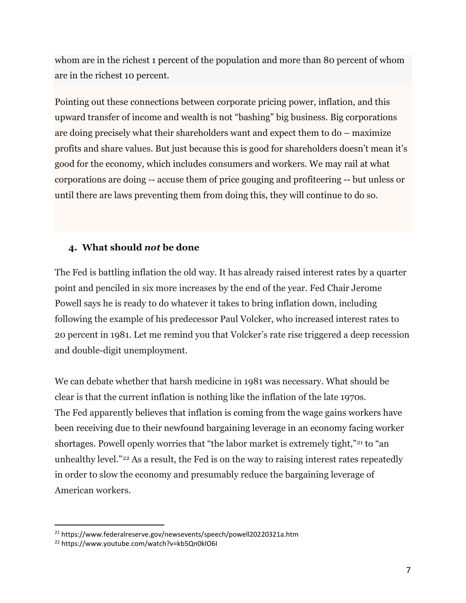whom are in the richest 1 percent of the population and more than 80 percent of whom are in the richest 10 percent.

Pointing out these connections between corporate pricing power, inflation, and this upward transfer of income and wealth is not "bashing" big business. Big corporations are doing precisely what their shareholders want and expect them to do – maximize profits and share values. But just because this is good for shareholders doesn't mean it's good for the economy, which includes consumers and workers. We may rail at what corporations are doing -- accuse them of price gouging and profiteering -- but unless or until there are laws preventing them from doing this, they will continue to do so.

#### **4. What should** *not* **be done**

The Fed is battling inflation the old way. It has already raised interest rates by a quarter point and penciled in six more increases by the end of the year. Fed Chair Jerome Powell says he is ready to do whatever it takes to bring inflation down, including following the example of his predecessor Paul Volcker, who increased interest rates to 20 percent in 1981. Let me remind you that Volcker's rate rise triggered a deep recession and double-digit unemployment.

We can debate whether that harsh medicine in 1981 was necessary. What should be clear is that the current inflation is nothing like the inflation of the late 1970s. The Fed apparently believes that inflation is coming from the wage gains workers have been receiving due to their newfound bargaining leverage in an economy facing worker shortages. Powell openly worries that "the labor market is extremely tight,"<sup>[21](#page-6-0)</sup> to "an unhealthy level."[22](#page-6-1) As a result, the Fed is on the way to raising interest rates repeatedly in order to slow the economy and presumably reduce the bargaining leverage of American workers.

<span id="page-6-0"></span><sup>21</sup> https://www.federalreserve.gov/newsevents/speech/powell20220321a.htm

<span id="page-6-1"></span><sup>22</sup> https://www.youtube.com/watch?v=kb5Qn0klO6I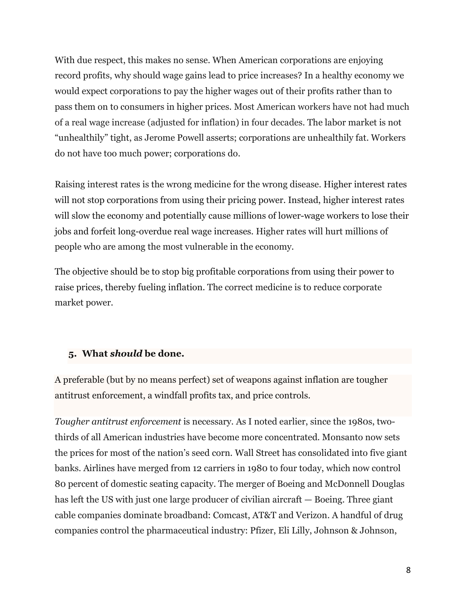With due respect, this makes no sense. When American corporations are enjoying record profits, why should wage gains lead to price increases? In a healthy economy we would expect corporations to pay the higher wages out of their profits rather than to pass them on to consumers in higher prices. Most American workers have not had much of a real wage increase (adjusted for inflation) in four decades. The labor market is not "unhealthily" tight, as Jerome Powell asserts; corporations are unhealthily fat. Workers do not have too much power; corporations do.

Raising interest rates is the wrong medicine for the wrong disease. Higher interest rates will not stop corporations from using their pricing power. Instead, higher interest rates will slow the economy and potentially cause millions of lower-wage workers to lose their jobs and forfeit long-overdue real wage increases. Higher rates will hurt millions of people who are among the most vulnerable in the economy.

The objective should be to stop big profitable corporations from using their power to raise prices, thereby fueling inflation. The correct medicine is to reduce corporate market power.

#### **5. What** *should* **be done.**

A preferable (but by no means perfect) set of weapons against inflation are tougher antitrust enforcement, a windfall profits tax, and price controls.

*Tougher antitrust enforcement* is necessary. As I noted earlier, since the 1980s, twothirds of all American industries have become more concentrated. Monsanto now sets the prices for most of the nation's seed corn. Wall Street has consolidated into five giant banks. Airlines have merged from 12 carriers in 1980 to four today, which now control 80 percent of domestic seating capacity. The merger of Boeing and McDonnell Douglas has left the US with just one large producer of civilian aircraft — Boeing. Three giant cable companies dominate broadband: Comcast, AT&T and Verizon. A handful of drug companies control the pharmaceutical industry: Pfizer, Eli Lilly, Johnson & Johnson,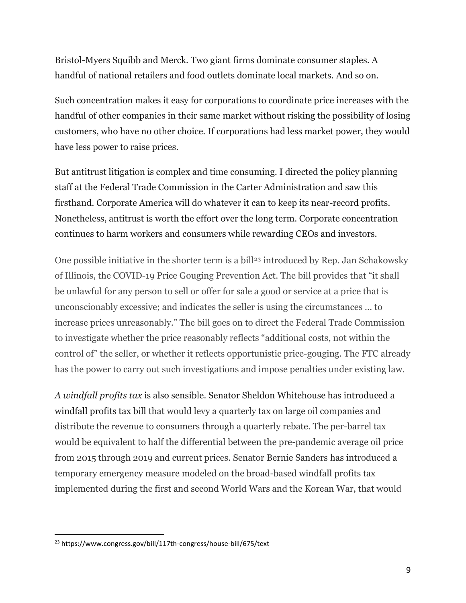Bristol-Myers Squibb and Merck. Two giant firms dominate consumer staples. A handful of national retailers and food outlets dominate local markets. And so on.

Such concentration makes it easy for corporations to coordinate price increases with the handful of other companies in their same market without risking the possibility of losing customers, who have no other choice. If corporations had less market power, they would have less power to raise prices.

But antitrust litigation is complex and time consuming. I directed the policy planning staff at the Federal Trade Commission in the Carter Administration and saw this firsthand. Corporate America will do whatever it can to keep its near-record profits. Nonetheless, antitrust is worth the effort over the long term. Corporate concentration continues to harm workers and consumers while rewarding CEOs and investors.

One possible initiative in the shorter term is a bill<sup>[23](#page-8-0)</sup> introduced by Rep. Jan Schakowsky of Illinois, the COVID-19 Price Gouging Prevention Act. The bill provides that "it shall be unlawful for any person to sell or offer for sale a good or service at a price that is unconscionably excessive; and indicates the seller is using the circumstances … to increase prices unreasonably." The bill goes on to direct the Federal Trade Commission to investigate whether the price reasonably reflects "additional costs, not within the control of" the seller, or whether it reflects opportunistic price-gouging. The FTC already has the power to carry out such investigations and impose penalties under existing law.

*A windfall profits tax* is also sensible. Senator Sheldon Whitehouse has introduced a windfall profits tax bill that would levy a quarterly tax on large oil companies and distribute the revenue to consumers through a quarterly rebate. The per-barrel tax would be equivalent to half the differential between the pre-pandemic average oil price from 2015 through 2019 and current prices. Senator Bernie Sanders has introduced a temporary emergency measure modeled on the broad-based windfall profits tax implemented during the first and second World Wars and the Korean War, that would

<span id="page-8-0"></span><sup>23</sup> https://www.congress.gov/bill/117th-congress/house-bill/675/text